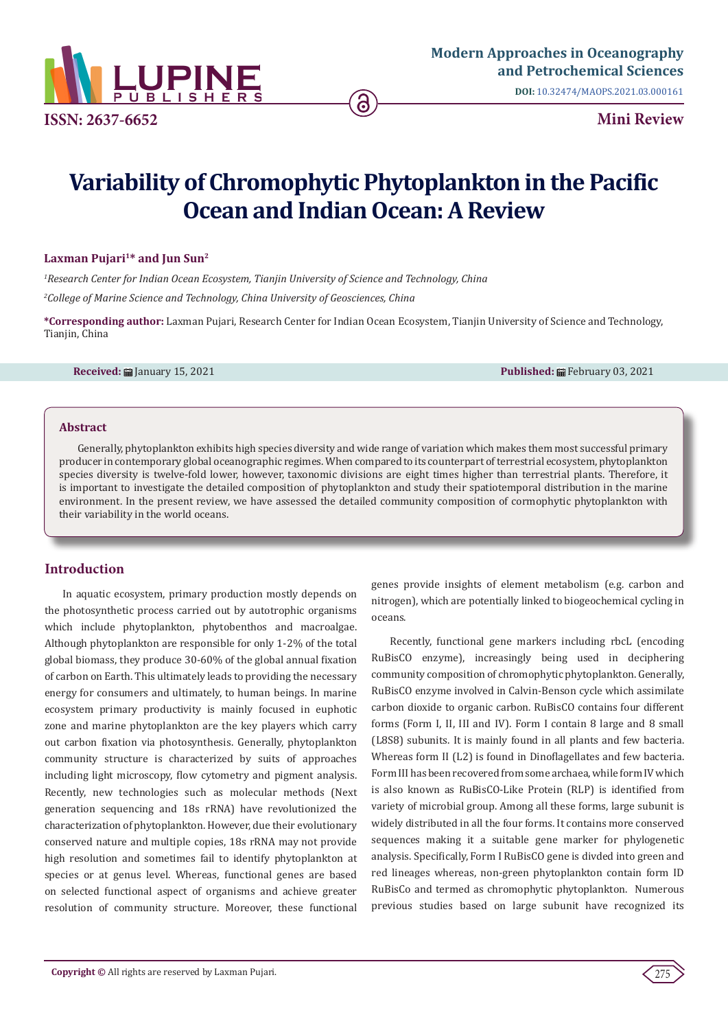

**DOI:** [10.32474/MAOPS.2021.03.000161](http://dx.doi.org/10.32474/MAOPS.2021.03.000161)

# **Variability of Chromophytic Phytoplankton in the Pacific Ocean and Indian Ocean: A Review**

#### Laxman Pujari<sup>1\*</sup> and Jun Sun<sup>2</sup>

*1 Research Center for Indian Ocean Ecosystem, Tianjin University of Science and Technology, China*

*2 College of Marine Science and Technology, China University of Geosciences, China*

**\*Corresponding author:** Laxman Pujari, Research Center for Indian Ocean Ecosystem, Tianjin University of Science and Technology, Tianjin, China

**Received:** January 15, 2021 **Published:** February 03, 2021

#### **Abstract**

Generally, phytoplankton exhibits high species diversity and wide range of variation which makes them most successful primary producer in contemporary global oceanographic regimes. When compared to its counterpart of terrestrial ecosystem, phytoplankton species diversity is twelve-fold lower, however, taxonomic divisions are eight times higher than terrestrial plants. Therefore, it is important to investigate the detailed composition of phytoplankton and study their spatiotemporal distribution in the marine environment. In the present review, we have assessed the detailed community composition of cormophytic phytoplankton with their variability in the world oceans.

# **Introduction**

In aquatic ecosystem, primary production mostly depends on the photosynthetic process carried out by autotrophic organisms which include phytoplankton, phytobenthos and macroalgae. Although phytoplankton are responsible for only 1-2% of the total global biomass, they produce 30-60% of the global annual fixation of carbon on Earth. This ultimately leads to providing the necessary energy for consumers and ultimately, to human beings. In marine ecosystem primary productivity is mainly focused in euphotic zone and marine phytoplankton are the key players which carry out carbon fixation via photosynthesis. Generally, phytoplankton community structure is characterized by suits of approaches including light microscopy, flow cytometry and pigment analysis. Recently, new technologies such as molecular methods (Next generation sequencing and 18s rRNA) have revolutionized the characterization of phytoplankton. However, due their evolutionary conserved nature and multiple copies, 18s rRNA may not provide high resolution and sometimes fail to identify phytoplankton at species or at genus level. Whereas, functional genes are based on selected functional aspect of organisms and achieve greater resolution of community structure. Moreover, these functional genes provide insights of element metabolism (e.g. carbon and nitrogen), which are potentially linked to biogeochemical cycling in oceans.

Recently, functional gene markers including rbcL (encoding RuBisCO enzyme), increasingly being used in deciphering community composition of chromophytic phytoplankton. Generally, RuBisCO enzyme involved in Calvin-Benson cycle which assimilate carbon dioxide to organic carbon. RuBisCO contains four different forms (Form I, II, III and IV). Form I contain 8 large and 8 small (L8S8) subunits. It is mainly found in all plants and few bacteria. Whereas form II (L2) is found in Dinoflagellates and few bacteria. Form III has been recovered from some archaea, while form IV which is also known as RuBisCO-Like Protein (RLP) is identified from variety of microbial group. Among all these forms, large subunit is widely distributed in all the four forms. It contains more conserved sequences making it a suitable gene marker for phylogenetic analysis. Specifically, Form I RuBisCO gene is divded into green and red lineages whereas, non-green phytoplankton contain form ID RuBisCo and termed as chromophytic phytoplankton. Numerous previous studies based on large subunit have recognized its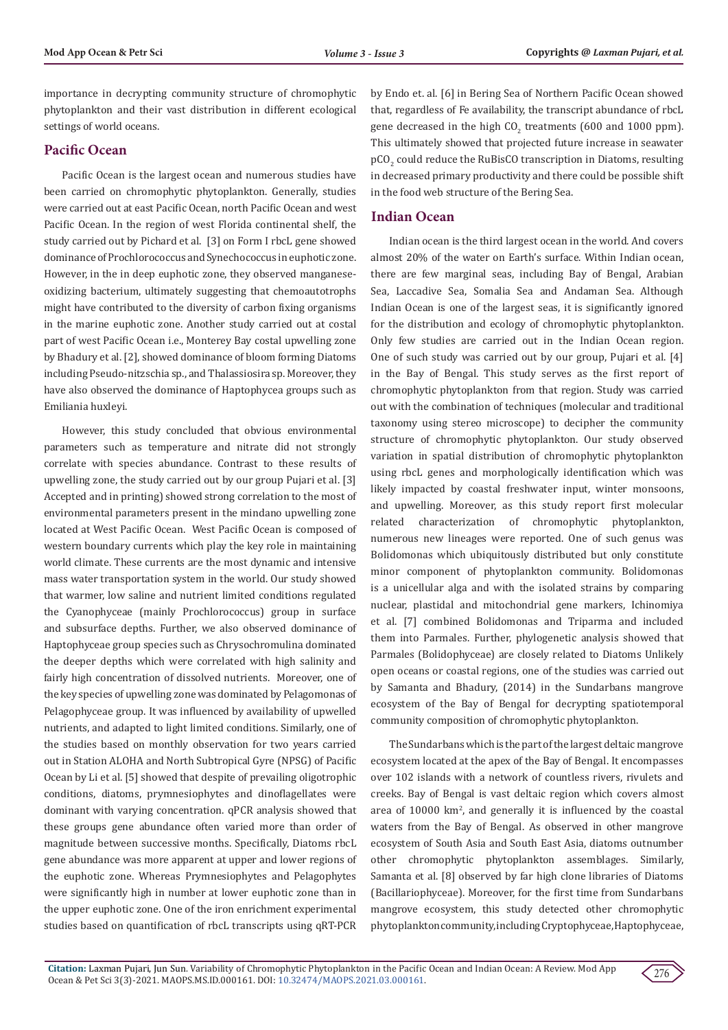importance in decrypting community structure of chromophytic phytoplankton and their vast distribution in different ecological settings of world oceans.

## **Pacific Ocean**

Pacific Ocean is the largest ocean and numerous studies have been carried on chromophytic phytoplankton. Generally, studies were carried out at east Pacific Ocean, north Pacific Ocean and west Pacific Ocean. In the region of west Florida continental shelf, the study carried out by Pichard et al. [3] on Form I rbcL gene showed dominance of Prochlorococcus and Synechococcus in euphotic zone. However, in the in deep euphotic zone, they observed manganeseoxidizing bacterium, ultimately suggesting that chemoautotrophs might have contributed to the diversity of carbon fixing organisms in the marine euphotic zone. Another study carried out at costal part of west Pacific Ocean i.e., Monterey Bay costal upwelling zone by Bhadury et al. [2], showed dominance of bloom forming Diatoms including Pseudo-nitzschia sp., and Thalassiosira sp. Moreover, they have also observed the dominance of Haptophycea groups such as Emiliania huxleyi.

However, this study concluded that obvious environmental parameters such as temperature and nitrate did not strongly correlate with species abundance. Contrast to these results of upwelling zone, the study carried out by our group Pujari et al. [3] Accepted and in printing) showed strong correlation to the most of environmental parameters present in the mindano upwelling zone located at West Pacific Ocean. West Pacific Ocean is composed of western boundary currents which play the key role in maintaining world climate. These currents are the most dynamic and intensive mass water transportation system in the world. Our study showed that warmer, low saline and nutrient limited conditions regulated the Cyanophyceae (mainly Prochlorococcus) group in surface and subsurface depths. Further, we also observed dominance of Haptophyceae group species such as Chrysochromulina dominated the deeper depths which were correlated with high salinity and fairly high concentration of dissolved nutrients. Moreover, one of the key species of upwelling zone was dominated by Pelagomonas of Pelagophyceae group. It was influenced by availability of upwelled nutrients, and adapted to light limited conditions. Similarly, one of the studies based on monthly observation for two years carried out in Station ALOHA and North Subtropical Gyre (NPSG) of Pacific Ocean by Li et al. [5] showed that despite of prevailing oligotrophic conditions, diatoms, prymnesiophytes and dinoflagellates were dominant with varying concentration. qPCR analysis showed that these groups gene abundance often varied more than order of magnitude between successive months. Specifically, Diatoms rbcL gene abundance was more apparent at upper and lower regions of the euphotic zone. Whereas Prymnesiophytes and Pelagophytes were significantly high in number at lower euphotic zone than in the upper euphotic zone. One of the iron enrichment experimental studies based on quantification of rbcL transcripts using qRT-PCR

by Endo et. al. [6] in Bering Sea of Northern Pacific Ocean showed that, regardless of Fe availability, the transcript abundance of rbcL gene decreased in the high  $CO_2$  treatments (600 and 1000 ppm). This ultimately showed that projected future increase in seawater  $\tt pCO<sub>2</sub>$  could reduce the RuBisCO transcription in Diatoms, resulting in decreased primary productivity and there could be possible shift in the food web structure of the Bering Sea.

# **Indian Ocean**

Indian ocean is the third largest ocean in the world. And covers almost 20% of the water on Earth's surface. Within Indian ocean, there are few marginal seas, including Bay of Bengal, Arabian Sea, Laccadive Sea, Somalia Sea and Andaman Sea. Although Indian Ocean is one of the largest seas, it is significantly ignored for the distribution and ecology of chromophytic phytoplankton. Only few studies are carried out in the Indian Ocean region. One of such study was carried out by our group, Pujari et al. [4] in the Bay of Bengal. This study serves as the first report of chromophytic phytoplankton from that region. Study was carried out with the combination of techniques (molecular and traditional taxonomy using stereo microscope) to decipher the community structure of chromophytic phytoplankton. Our study observed variation in spatial distribution of chromophytic phytoplankton using rbcL genes and morphologically identification which was likely impacted by coastal freshwater input, winter monsoons, and upwelling. Moreover, as this study report first molecular related characterization of chromophytic phytoplankton, numerous new lineages were reported. One of such genus was Bolidomonas which ubiquitously distributed but only constitute minor component of phytoplankton community. Bolidomonas is a unicellular alga and with the isolated strains by comparing nuclear, plastidal and mitochondrial gene markers, Ichinomiya et al. [7] combined Bolidomonas and Triparma and included them into Parmales. Further, phylogenetic analysis showed that Parmales (Bolidophyceae) are closely related to Diatoms Unlikely open oceans or coastal regions, one of the studies was carried out by Samanta and Bhadury, (2014) in the Sundarbans mangrove ecosystem of the Bay of Bengal for decrypting spatiotemporal community composition of chromophytic phytoplankton.

The Sundarbans which is the part of the largest deltaic mangrove ecosystem located at the apex of the Bay of Bengal. It encompasses over 102 islands with a network of countless rivers, rivulets and creeks. Bay of Bengal is vast deltaic region which covers almost area of 10000 km<sup>2</sup>, and generally it is influenced by the coastal waters from the Bay of Bengal. As observed in other mangrove ecosystem of South Asia and South East Asia, diatoms outnumber other chromophytic phytoplankton assemblages. Similarly, Samanta et al. [8] observed by far high clone libraries of Diatoms (Bacillariophyceae). Moreover, for the first time from Sundarbans mangrove ecosystem, this study detected other chromophytic phytoplankton community, including Cryptophyceae, Haptophyceae,